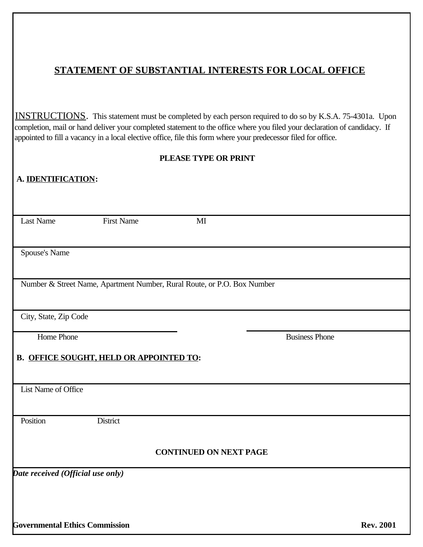# **STATEMENT OF SUBSTANTIAL INTERESTS FOR LOCAL OFFICE**

INSTRUCTIONS. This statement must be completed by each person required to do so by K.S.A. 75-4301a. Upon completion, mail or hand deliver your completed statement to the office where you filed your declaration of candidacy. If appointed to fill a vacancy in a local elective office, file this form where your predecessor filed for office.

### **PLEASE TYPE OR PRINT**

| A. <b>IDENTIFICATION:</b>             |                                                                         |                               |                       |                  |
|---------------------------------------|-------------------------------------------------------------------------|-------------------------------|-----------------------|------------------|
|                                       |                                                                         |                               |                       |                  |
| <b>Last Name</b>                      | <b>First Name</b>                                                       | $\mathbf{M}$                  |                       |                  |
|                                       |                                                                         |                               |                       |                  |
| Spouse's Name                         |                                                                         |                               |                       |                  |
|                                       | Number & Street Name, Apartment Number, Rural Route, or P.O. Box Number |                               |                       |                  |
| City, State, Zip Code                 |                                                                         |                               |                       |                  |
| Home Phone                            |                                                                         |                               | <b>Business Phone</b> |                  |
|                                       | <b>B. OFFICE SOUGHT, HELD OR APPOINTED TO:</b>                          |                               |                       |                  |
| List Name of Office                   |                                                                         |                               |                       |                  |
| Position                              | District                                                                |                               |                       |                  |
|                                       |                                                                         | <b>CONTINUED ON NEXT PAGE</b> |                       |                  |
| Date received (Official use only)     |                                                                         |                               |                       |                  |
|                                       |                                                                         |                               |                       |                  |
|                                       |                                                                         |                               |                       |                  |
| <b>Governmental Ethics Commission</b> |                                                                         |                               |                       | <b>Rev. 2001</b> |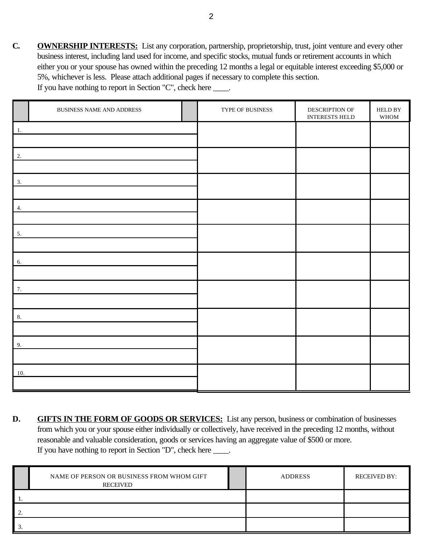**C. OWNERSHIP INTERESTS:** List any corporation, partnership, proprietorship, trust, joint venture and every other business interest, including land used for income, and specific stocks, mutual funds or retirement accounts in which either you or your spouse has owned within the preceding 12 months a legal or equitable interest exceeding \$5,000 or 5%, whichever is less. Please attach additional pages if necessary to complete this section. If you have nothing to report in Section "C", check here  $\_\_\_\_\$ .

|     | BUSINESS NAME AND ADDRESS | TYPE OF BUSINESS | DESCRIPTION OF<br>INTERESTS HELD | ${\tt HELD}\,{\tt BY}$<br>$\ensuremath{\mathsf{WHOM}}\xspace$ |
|-----|---------------------------|------------------|----------------------------------|---------------------------------------------------------------|
| 1.  |                           |                  |                                  |                                                               |
| 2.  |                           |                  |                                  |                                                               |
|     |                           |                  |                                  |                                                               |
| 3.  |                           |                  |                                  |                                                               |
| 4.  |                           |                  |                                  |                                                               |
| 5.  |                           |                  |                                  |                                                               |
|     |                           |                  |                                  |                                                               |
| 6.  |                           |                  |                                  |                                                               |
| 7.  |                           |                  |                                  |                                                               |
|     |                           |                  |                                  |                                                               |
| 8.  |                           |                  |                                  |                                                               |
|     |                           |                  |                                  |                                                               |
| 9.  |                           |                  |                                  |                                                               |
| 10. |                           |                  |                                  |                                                               |
|     |                           |                  |                                  |                                                               |

**D.** GIFTS IN THE FORM OF GOODS OR SERVICES: List any person, business or combination of businesses from which you or your spouse either individually or collectively, have received in the preceding 12 months, without reasonable and valuable consideration, goods or services having an aggregate value of \$500 or more. If you have nothing to report in Section "D", check here \_\_\_\_.

| NAME OF PERSON OR BUSINESS FROM WHOM GIFT<br><b>RECEIVED</b> | <b>ADDRESS</b> | <b>RECEIVED BY:</b> |
|--------------------------------------------------------------|----------------|---------------------|
|                                                              |                |                     |
|                                                              |                |                     |
|                                                              |                |                     |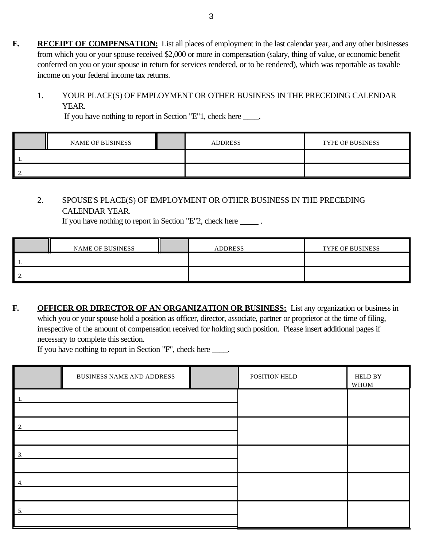**E. RECEIPT OF COMPENSATION:** List all places of employment in the last calendar year, and any other businesses from which you or your spouse received \$2,000 or more in compensation (salary, thing of value, or economic benefit conferred on you or your spouse in return for services rendered, or to be rendered), which was reportable as taxable income on your federal income tax returns.

## 1. YOUR PLACE(S) OF EMPLOYMENT OR OTHER BUSINESS IN THE PRECEDING CALENDAR YEAR.

If you have nothing to report in Section "E"1, check here \_\_\_\_.

|  | <b>NAME OF BUSINESS</b> |  | <b>ADDRESS</b> | <b>TYPE OF BUSINESS</b> |  |
|--|-------------------------|--|----------------|-------------------------|--|
|  |                         |  |                |                         |  |
|  |                         |  |                |                         |  |

### 2. SPOUSE'S PLACE(S) OF EMPLOYMENT OR OTHER BUSINESS IN THE PRECEDING CALENDAR YEAR.

If you have nothing to report in Section "E"2, check here  $\qquad \qquad$ .

|          | <b>NAME OF BUSINESS</b> |  | <b>ADDRESS</b> | <b>TYPE OF BUSINESS</b> |  |
|----------|-------------------------|--|----------------|-------------------------|--|
|          |                         |  |                |                         |  |
| <u>.</u> |                         |  |                |                         |  |

**F. OFFICER OR DIRECTOR OF AN ORGANIZATION OR BUSINESS:** List any organization or business in which you or your spouse hold a position as officer, director, associate, partner or proprietor at the time of filing, irrespective of the amount of compensation received for holding such position. Please insert additional pages if necessary to complete this section.

If you have nothing to report in Section "F", check here \_\_\_\_.

|     | <b>BUSINESS NAME AND ADDRESS</b> |  | POSITION HELD | <b>HELD BY</b><br>WHOM |
|-----|----------------------------------|--|---------------|------------------------|
| -1. |                                  |  |               |                        |
| 2.  |                                  |  |               |                        |
| 3.  |                                  |  |               |                        |
| 4.  |                                  |  |               |                        |
| 5.  |                                  |  |               |                        |